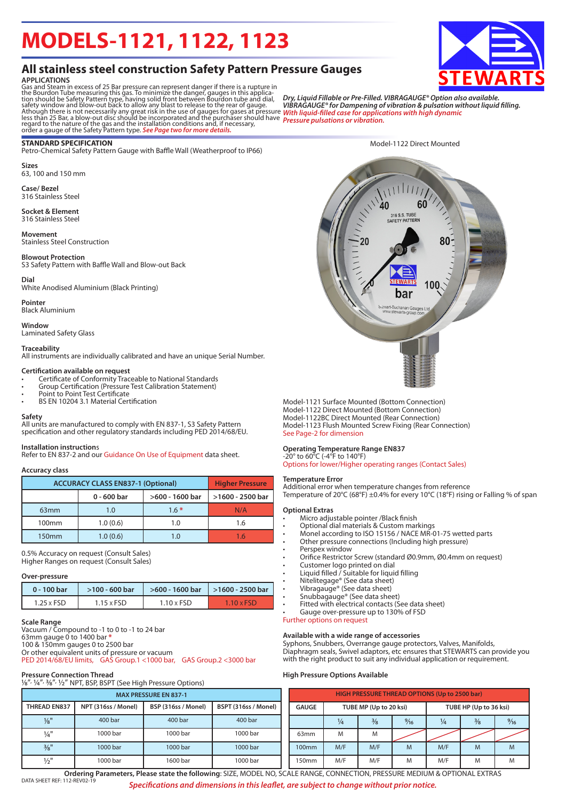# **MODELS-1121, 1122, 1123**

## **All stainless steel construction Safety Pattern Pressure Gauges**

**APPLICATIONS**<br>Gas and Steam in excess of 25 Bar pressure can represent danger if there is a rupture in<br>Gas and Steam in excess of 25 Bar pressure can represent danger, gauges in this applica-<br>tion should be Safety Pattern

#### **STANDARD SPECIFICATION**

Petro-Chemical Safety Pattern Gauge with Baffle Wall (Weatherproof to IP66)

**Sizes** 63, 100 and 150 mm

**Case/ Bezel** 316 Stainless Steel

#### **Socket & Element**

316 Stainless Steel

**Movement** Stainless Steel Construction

#### **Blowout Protection**

S3 Safety Pattern with Baffle Wall and Blow-out Back

#### **Dial**

White Anodised Aluminium (Black Printing)

**Pointer** Black Aluminium

### **Window**

Laminated Safety Glass

### **Traceability**

All instruments are individually calibrated and have an unique Serial Number.

#### **Certification available on request**

- Certificate of Conformity Traceable to National Standards
- Group Certification (Pressure Test Calibration Statement)
- Point to Point Test Certificate • BS EN 10204 3.1 Material Certification
- 

#### **Safety**

All units are manufactured to comply with EN 837-1, S3 Safety Pattern specification and other regulatory standards including PED 2014/68/EU.

#### **Installation instruction**s

Refer to EN 837-2 and our Guidance On Use of Equipment data sheet.

#### **Accuracy class**

| <b>ACCURACY CLASS EN837-1 (Optional)</b> | <b>Higher Pressure</b>           |        |     |  |  |  |  |  |
|------------------------------------------|----------------------------------|--------|-----|--|--|--|--|--|
|                                          | >600 - 1600 bar<br>$0 - 600$ bar |        |     |  |  |  |  |  |
| 63 <sub>mm</sub>                         | 1.0                              | $1.6*$ | N/A |  |  |  |  |  |
| 100 <sub>mm</sub>                        | 1.0(0.6)                         | 1.0    | 1.6 |  |  |  |  |  |
| 150 <sub>mm</sub>                        | 1.0(0.6)                         | 1.0    | 1 6 |  |  |  |  |  |

0.5% Accuracy on request (Consult Sales) Higher Ranges on request (Consult Sales)

#### **Over-pressure**

| 0 - 100 bar       | $>100 - 600$ bar  |                   | $>600 - 1600$ bar   $>1600 - 2500$ bar |  |  |  |
|-------------------|-------------------|-------------------|----------------------------------------|--|--|--|
| $1.25 \times FSD$ | $1.15 \times FSD$ | $1.10 \times FSD$ | $1.10 \times FSD$                      |  |  |  |

#### **Scale Range**

Vacuum / Compound to -1 to 0 to -1 to 24 bar 63mm gauge 0 to 1400 bar **\*** 100 & 150mm gauges 0 to 2500 bar Or other equivalent units of pressure or vacuum PED 2014/68/EU limits, GAS Group.1 <1000 bar, GAS Group.2 <3000 bar

| <b>Pressure Connection Thread</b><br>$\frac{1}{8}$ ", $\frac{1}{4}$ ", $\frac{3}{8}$ ", $\frac{1}{2}$ " NPT, BSP, BSPT (See High Pressure Options) |                     |                     |                      |  |  |  |  |  |  |  |  |
|----------------------------------------------------------------------------------------------------------------------------------------------------|---------------------|---------------------|----------------------|--|--|--|--|--|--|--|--|
| <b>MAX PRESSURE EN 837-1</b>                                                                                                                       |                     |                     |                      |  |  |  |  |  |  |  |  |
| <b>THREAD EN837</b>                                                                                                                                | NPT (316ss / Monel) | BSP (316ss / Monel) | BSPT (316ss / Monel) |  |  |  |  |  |  |  |  |
| $\frac{1}{8}$ "                                                                                                                                    | 400 bar             | 400 bar             | 400 bar              |  |  |  |  |  |  |  |  |
| $\frac{1}{4}$ "                                                                                                                                    | 1000 bar            | 1000 bar            | 1000 bar             |  |  |  |  |  |  |  |  |
| $3/8$ <sup>11</sup>                                                                                                                                | 1000 bar            | 1000 bar            | 1000 bar             |  |  |  |  |  |  |  |  |
| 1/2"                                                                                                                                               | 1000 bar            | 1600 bar            | 1000 bar             |  |  |  |  |  |  |  |  |



*VIBRAGAUGE® for Dampening of vibration & pulsation without liquid filling.*

Model-1122 Direct Mounted

*With liquid-filled case for applications with high dynamic*

*Pressure pulsations or vibration.*

Model-1121 Surface Mounted (Bottom Connection) Model-1122 Direct Mounted (Bottom Connection) Model-1122BC Direct Mounted (Rear Connection) Model-1123 Flush Mounted Screw Fixing (Rear Connection) See Page-2 for dimension

#### **Operating Temperature Range EN837**

-20° to 60°C (-4°F to 140°F) Options for lower/Higher operating ranges (Contact Sales)

#### **Temperature Error**

Additional error when temperature changes from reference Temperature of 20°C (68°F) ±0.4% for every 10°C (18°F) rising or Falling % of span

#### **Optional Extras**

- Micro adjustable pointer /Black finish
- Optional dial materials & Custom markings
- Monel according to ISO 15156 / NACE MR-01-75 wetted parts
- Other pressure connections (Including high pressure)
- Perspex window
- Orifice Restrictor Screw (standard Ø0.9mm, Ø0.4mm on request)
- Customer logo printed on dial
- Liquid filled / Suitable for liquid filling
- Nitelitegage® (See data sheet)
- Vibragauge® (See data sheet)
- Snubbagauge® (See data sheet)
- Fitted with electrical contacts (See data sheet) • Gauge over-pressure up to 130% of FSD

Further options on request

#### **Available with a wide range of accessories**

Syphons, Snubbers, Overrange gauge protectors, Valves, Manifolds, Diaphragm seals, Swivel adaptors, etc ensures that STEWARTS can provide you with the right product to suit any individual application or requirement.

#### **High Pressure Options Available**

| <b>HIGH PRESSURE THREAD OPTIONS (Up to 2500 bar)</b> |               |                        |                |                        |               |                |  |  |  |
|------------------------------------------------------|---------------|------------------------|----------------|------------------------|---------------|----------------|--|--|--|
| <b>GAUGE</b>                                         |               | TUBE MP (Up to 20 ksi) |                | TUBE HP (Up to 36 ksi) |               |                |  |  |  |
|                                                      | $\frac{1}{4}$ | $\frac{3}{8}$          | $\frac{9}{16}$ | $\frac{1}{4}$          | $\frac{3}{8}$ | $\frac{9}{16}$ |  |  |  |
| 63 <sub>mm</sub>                                     | M             | M                      |                |                        |               |                |  |  |  |
| 100 <sub>mm</sub>                                    | M/F           | M/F                    | M              | M/F                    | M             | M              |  |  |  |
| 150mm                                                | M/F           | M/F                    | M              | M/F                    | M             | M              |  |  |  |



DATA SHEET REF: 112-REV02-19 *Specifications and dimensions in this leaflet, are subject to change without prior notice.* **Ordering Parameters, Please state the following**: SIZE, MODEL NO, SCALE RANGE, CONNECTION, PRESSURE MEDIUM & OPTIONAL EXTRAS